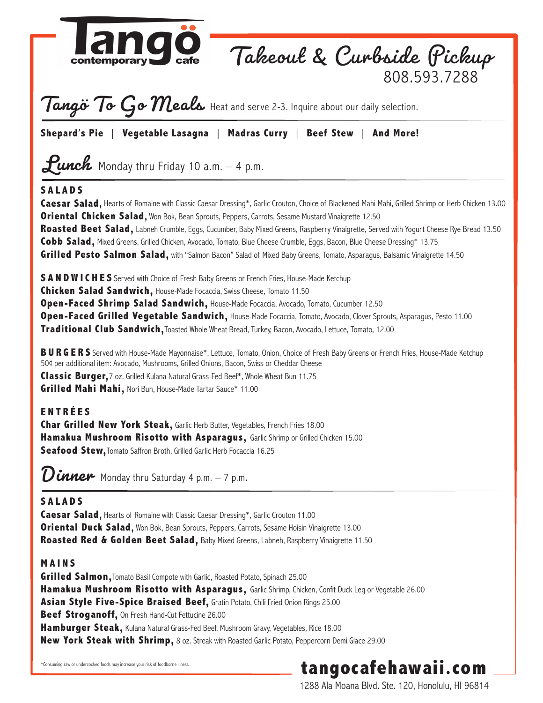

**Beef Stroganoff,** On Fresh Hand-Cut Fettucine 26.00

**Hamburger Steak,** Kulana Natural Grass-Fed Beef, Mushroom Gravy, Vegetables, Rice 18.00

**New York Steak with Shrimp,** 8 oz. Streak with Roasted Garlic Potato, Peppercorn Demi Glace 29.00

\*Consuming raw or undercooked foods may increase your risk of foodborne illness.

# **tangocafehawaii.com**

1288 Ala Moana Blvd. Ste. 120, Honolulu, HI 96814